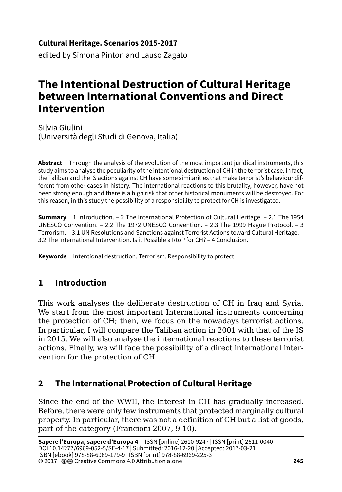### **Cultural Heritage. Scenarios 2015-2017**

edited by Simona Pinton and Lauso Zagato

# **The Intentional Destruction of Cultural Heritage between International Conventions and Direct Intervention**

Silvia Giulini (Università degli Studi di Genova, Italia)

**Abstract** Through the analysis of the evolution of the most important juridical instruments, this study aims to analyse the peculiarity of the intentional destruction of CH in the terrorist case. In fact, the Taliban and the IS actions against CH have some similarities that make terrorist's behaviour different from other cases in history. The international reactions to this brutality, however, have not been strong enough and there is a high risk that other historical monuments will be destroyed. For this reason, in this study the possibility of a responsibility to protect for CH is investigated.

**Summary** 1 Introduction. – 2 The International Protection of Cultural Heritage. – 2.1 The 1954 UNESCO Convention. – 2.2 The 1972 UNESCO Convention. – 2.3 The 1999 Hague Protocol. – 3 Terrorism. – 3.1 UN Resolutions and Sanctions against Terrorist Actions toward Cultural Heritage. – 3.2 The International Intervention. Is it Possible a RtoP for CH? – 4 Conclusion.

**Keywords** Intentional destruction. Terrorism. Responsibility to protect.

# **1 Introduction**

This work analyses the deliberate destruction of CH in Iraq and Syria. We start from the most important International instruments concerning the protection of CH; then, we focus on the nowadays terrorist actions. In particular, I will compare the Taliban action in 2001 with that of the IS in 2015. We will also analyse the international reactions to these terrorist actions. Finally, we will face the possibility of a direct international intervention for the protection of CH.

# **2 The International Protection of Cultural Heritage**

Since the end of the WWII, the interest in CH has gradually increased. Before, there were only few instruments that protected marginally cultural property. In particular, there was not a definition of CH but a list of goods, part of the category (Francioni 2007, 9-10).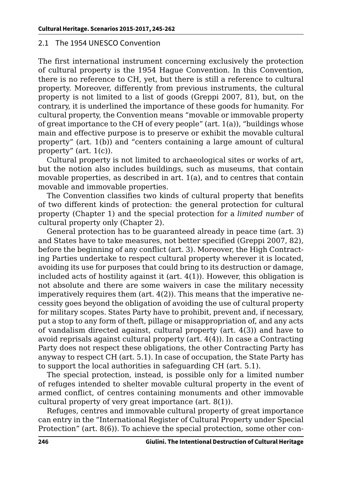#### 2.1 The 1954 UNESCO Convention

The first international instrument concerning exclusively the protection of cultural property is the 1954 Hague Convention. In this Convention, there is no reference to CH, yet, but there is still a reference to cultural property. Moreover, differently from previous instruments, the cultural property is not limited to a list of goods (Greppi 2007, 81), but, on the contrary, it is underlined the importance of these goods for humanity. For cultural property, the Convention means "movable or immovable property of great importance to the CH of every people" (art. 1(a)), "buildings whose main and effective purpose is to preserve or exhibit the movable cultural property" (art. 1(b)) and "centers containing a large amount of cultural property" (art. 1(c)).

Cultural property is not limited to archaeological sites or works of art, but the notion also includes buildings, such as museums, that contain movable properties, as described in  $art. 1(a)$ , and to centres that contain movable and immovable properties.

The Convention classifies two kinds of cultural property that benefits of two different kinds of protection: the general protection for cultural property (Chapter 1) and the special protection for a *limited number* of cultural property only (Chapter 2).

General protection has to be guaranteed already in peace time (art. 3) and States have to take measures, not better specified (Greppi 2007, 82), before the beginning of any conflict (art. 3). Moreover, the High Contracting Parties undertake to respect cultural property wherever it is located, avoiding its use for purposes that could bring to its destruction or damage, included acts of hostility against it (art. 4(1)). However, this obligation is not absolute and there are some waivers in case the military necessity imperatively requires them (art.  $4(2)$ ). This means that the imperative necessity goes beyond the obligation of avoiding the use of cultural property for military scopes. States Party have to prohibit, prevent and, if necessary, put a stop to any form of theft, pillage or misappropriation of, and any acts of vandalism directed against, cultural property (art. 4(3)) and have to avoid reprisals against cultural property (art. 4(4)). In case a Contracting Party does not respect these obligations, the other Contracting Party has anyway to respect CH (art. 5.1). In case of occupation, the State Party has to support the local authorities in safeguarding CH (art. 5.1).

The special protection, instead, is possible only for a limited number of refuges intended to shelter movable cultural property in the event of armed conflict, of centres containing monuments and other immovable cultural property of very great importance (art. 8(1)).

Refuges, centres and immovable cultural property of great importance can entry in the "International Register of Cultural Property under Special Protection" (art. 8(6)). To achieve the special protection, some other con-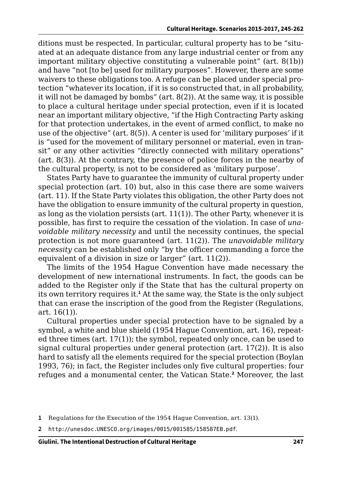ditions must be respected. In particular, cultural property has to be "situated at an adequate distance from any large industrial center or from any important military objective constituting a vulnerable point" (art. 8(1b)) and have "not [to be] used for military purposes". However, there are some waivers to these obligations too. A refuge can be placed under special protection "whatever its location, if it is so constructed that, in all probability, it will not be damaged by bombs" (art. 8(2)). At the same way, it is possible to place a cultural heritage under special protection, even if it is located near an important military objective, "if the High Contracting Party asking for that protection undertakes, in the event of armed conflict, to make no use of the objective" (art. 8(5)). A center is used for 'military purposes' if it is "used for the movement of military personnel or material, even in transit" or any other activities "directly connected with military operations" (art. 8(3)). At the contrary, the presence of police forces in the nearby of the cultural property, is not to be considered as 'military purpose'.

States Party have to guarantee the immunity of cultural property under special protection (art. 10) but, also in this case there are some waivers (art. 11). If the State Party violates this obligation, the other Party does not have the obligation to ensure immunity of the cultural property in question, as long as the violation persists (art. 11(1)). The other Party, whenever it is possible, has first to require the cessation of the violation. In case of *unavoidable military necessity* and until the necessity continues, the special protection is not more guaranteed (art. 11(2)). The *unavoidable military necessity* can be established only "by the officer commanding a force the equivalent of a division in size or larger" (art. 11(2)).

The limits of the 1954 Hague Convention have made necessary the development of new international instruments. In fact, the goods can be added to the Register only if the State that has the cultural property on its own territory requires it.**<sup>1</sup>** At the same way, the State is the only subject that can erase the inscription of the good from the Register (Regulations, art. 16(1)).

Cultural properties under special protection have to be signaled by a symbol, a white and blue shield (1954 Hague Convention, art. 16), repeated three times (art. 17(1)); the symbol, repeated only once, can be used to signal cultural properties under general protection (art. 17(2)). It is also hard to satisfy all the elements required for the special protection (Boylan 1993, 76); in fact, the Register includes only five cultural properties: four refuges and a monumental center, the Vatican State.**<sup>2</sup>** Moreover, the last

**<sup>1</sup>** Regulations for the Execution of the 1954 Hague Convention, art. 13(1).

**<sup>2</sup>** <http://unesdoc.UNESCO.org/images/0015/001585/158587EB.pdf>.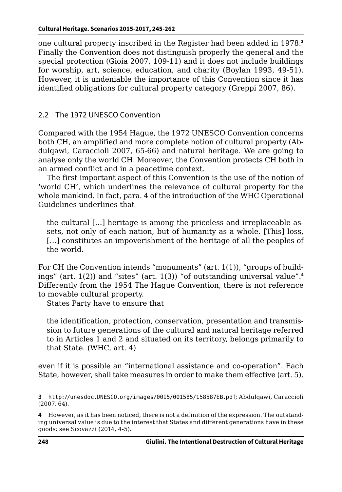one cultural property inscribed in the Register had been added in 1978.**<sup>3</sup>** Finally the Convention does not distinguish properly the general and the special protection (Gioia 2007, 109-11) and it does not include buildings for worship, art, science, education, and charity (Boylan 1993, 49-51). However, it is undeniable the importance of this Convention since it has identified obligations for cultural property category (Greppi 2007, 86).

### 2.2 The 1972 UNESCO Convention

Compared with the 1954 Hague, the 1972 UNESCO Convention concerns both CH, an amplified and more complete notion of cultural property (Abdulqawi, Caraccioli 2007, 65-66) and natural heritage. We are going to analyse only the world CH. Moreover, the Convention protects CH both in an armed conflict and in a peacetime context.

The first important aspect of this Convention is the use of the notion of 'world CH', which underlines the relevance of cultural property for the whole mankind. In fact, para. 4 of the introduction of the WHC Operational Guidelines underlines that

the cultural […] heritage is among the priceless and irreplaceable assets, not only of each nation, but of humanity as a whole. [This] loss, [...] constitutes an impoverishment of the heritage of all the peoples of the world.

For CH the Convention intends "monuments" (art. 1(1)), "groups of buildings" (art. 1(2)) and "sites" (art. 1(3)) "of outstanding universal value".**<sup>4</sup>** Differently from the 1954 The Hague Convention, there is not reference to movable cultural property.

States Party have to ensure that

the identification, protection, conservation, presentation and transmission to future generations of the cultural and natural heritage referred to in Articles 1 and 2 and situated on its territory, belongs primarily to that State. (WHC, art. 4)

even if it is possible an "international assistance and co-operation". Each State, however, shall take measures in order to make them effective (art. 5).

**3** <http://unesdoc.UNESCO.org/images/0015/001585/158587EB.pdf>; Abdulqawi, Caraccioli (2007, 64).

**4** However, as it has been noticed, there is not a definition of the expression. The outstanding universal value is due to the interest that States and different generations have in these goods: see Scovazzi (2014, 4-5).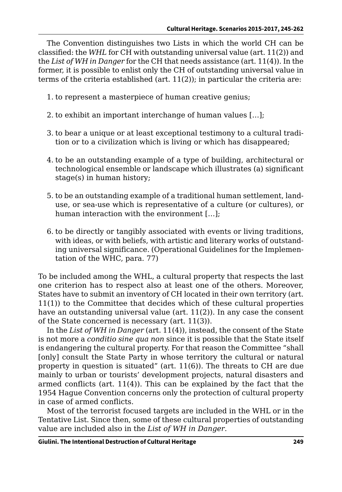The Convention distinguishes two Lists in which the world CH can be classified: the *WHL* for CH with outstanding universal value (art. 11(2)) and the *List of WH in Danger* for the CH that needs assistance (art. 11(4)). In the former, it is possible to enlist only the CH of outstanding universal value in terms of the criteria established (art.  $11(2)$ ); in particular the criteria are:

- 1. to represent a masterpiece of human creative genius;
- 2. to exhibit an important interchange of human values […];
- 3. to bear a unique or at least exceptional testimony to a cultural tradition or to a civilization which is living or which has disappeared;
- 4. to be an outstanding example of a type of building, architectural or technological ensemble or landscape which illustrates (a) significant stage(s) in human history;
- 5. to be an outstanding example of a traditional human settlement, landuse, or sea-use which is representative of a culture (or cultures), or human interaction with the environment […];
- 6. to be directly or tangibly associated with events or living traditions, with ideas, or with beliefs, with artistic and literary works of outstanding universal significance. (Operational Guidelines for the Implementation of the WHC, para. 77)

To be included among the WHL, a cultural property that respects the last one criterion has to respect also at least one of the others. Moreover, States have to submit an inventory of CH located in their own territory (art. 11(1)) to the Committee that decides which of these cultural properties have an outstanding universal value (art.  $11(2)$ ). In any case the consent of the State concerned is necessary (art. 11(3)).

In the *List of WH in Danger* (art. 11(4)), instead, the consent of the State is not more a *conditio sine qua non* since it is possible that the State itself is endangering the cultural property. For that reason the Committee "shall [only] consult the State Party in whose territory the cultural or natural property in question is situated" (art. 11(6)). The threats to CH are due mainly to urban or tourists' development projects, natural disasters and armed conflicts (art. 11(4)). This can be explained by the fact that the 1954 Hague Convention concerns only the protection of cultural property in case of armed conflicts.

Most of the terrorist focused targets are included in the WHL or in the Tentative List. Since then, some of these cultural properties of outstanding value are included also in the *List of WH in Danger*.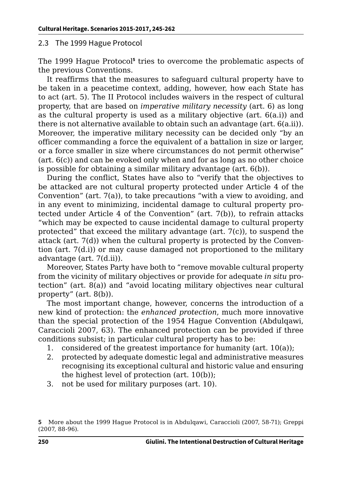#### 2.3 The 1999 Hague Protocol

The 1999 Hague Protocol**<sup>5</sup>** tries to overcome the problematic aspects of the previous Conventions.

It reaffirms that the measures to safeguard cultural property have to be taken in a peacetime context, adding, however, how each State has to act (art. 5). The II Protocol includes waivers in the respect of cultural property, that are based on *imperative military necessity* (art. 6) as long as the cultural property is used as a military objective (art.  $6(a,i)$ ) and there is not alternative available to obtain such an advantage (art. 6(a.ii)). Moreover, the imperative military necessity can be decided only "by an officer commanding a force the equivalent of a battalion in size or larger, or a force smaller in size where circumstances do not permit otherwise" (art. 6(c)) and can be evoked only when and for as long as no other choice is possible for obtaining a similar military advantage (art. 6(b)).

During the conflict, States have also to "verify that the objectives to be attacked are not cultural property protected under Article 4 of the Convention" (art. 7(a)), to take precautions "with a view to avoiding, and in any event to minimizing, incidental damage to cultural property protected under Article 4 of the Convention" (art. 7(b)), to refrain attacks "which may be expected to cause incidental damage to cultural property protected" that exceed the military advantage (art.  $7(c)$ ), to suspend the attack (art. 7(d)) when the cultural property is protected by the Convention (art. 7(d.i)) or may cause damaged not proportioned to the military advantage (art. 7(d.ii)).

Moreover, States Party have both to "remove movable cultural property from the vicinity of military objectives or provide for adequate *in situ* protection" (art. 8(a)) and "avoid locating military objectives near cultural property" (art. 8(b)).

The most important change, however, concerns the introduction of a new kind of protection: the *enhanced protection*, much more innovative than the special protection of the 1954 Hague Convention (Abdulqawi, Caraccioli 2007, 63). The enhanced protection can be provided if three conditions subsist; in particular cultural property has to be:

- 1. considered of the greatest importance for humanity (art. 10(a));
- 2. protected by adequate domestic legal and administrative measures recognising its exceptional cultural and historic value and ensuring the highest level of protection (art. 10(b));
- 3. not be used for military purposes (art. 10).

**<sup>5</sup>** More about the 1999 Hague Protocol is in Abdulqawi, Caraccioli (2007, 58-71); Greppi (2007, 88-96).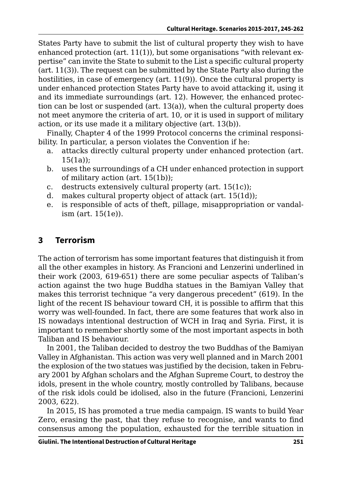States Party have to submit the list of cultural property they wish to have enhanced protection (art.  $11(1)$ ), but some organisations "with relevant expertise" can invite the State to submit to the List a specific cultural property (art. 11(3)). The request can be submitted by the State Party also during the hostilities, in case of emergency (art. 11(9)). Once the cultural property is under enhanced protection States Party have to avoid attacking it, using it and its immediate surroundings (art. 12). However, the enhanced protection can be lost or suspended (art. 13(a)), when the cultural property does not meet anymore the criteria of art. 10, or it is used in support of military action, or its use made it a military objective (art. 13(b)).

Finally, Chapter 4 of the 1999 Protocol concerns the criminal responsibility. In particular, a person violates the Convention if he:

- a. attacks directly cultural property under enhanced protection (art.  $15(1a)$ ;
- b. uses the surroundings of a CH under enhanced protection in support of military action (art. 15(1b));
- c. destructs extensively cultural property (art. 15(1c));
- d. makes cultural property object of attack (art. 15(1d));
- e. is responsible of acts of theft, pillage, misappropriation or vandalism (art. 15(1e)).

# **3 Terrorism**

The action of terrorism has some important features that distinguish it from all the other examples in history. As Francioni and Lenzerini underlined in their work (2003, 619-651) there are some peculiar aspects of Taliban's action against the two huge Buddha statues in the Bamiyan Valley that makes this terrorist technique "a very dangerous precedent" (619). In the light of the recent IS behaviour toward CH, it is possible to affirm that this worry was well-founded. In fact, there are some features that work also in IS nowadays intentional destruction of WCH in Iraq and Syria. First, it is important to remember shortly some of the most important aspects in both Taliban and IS behaviour.

In 2001, the Taliban decided to destroy the two Buddhas of the Bamiyan Valley in Afghanistan. This action was very well planned and in March 2001 the explosion of the two statues was justified by the decision, taken in February 2001 by Afghan scholars and the Afghan Supreme Court, to destroy the idols, present in the whole country, mostly controlled by Talibans, because of the risk idols could be idolised, also in the future (Francioni, Lenzerini 2003, 622).

In 2015, IS has promoted a true media campaign. IS wants to build Year Zero, erasing the past, that they refuse to recognise, and wants to find consensus among the population, exhausted for the terrible situation in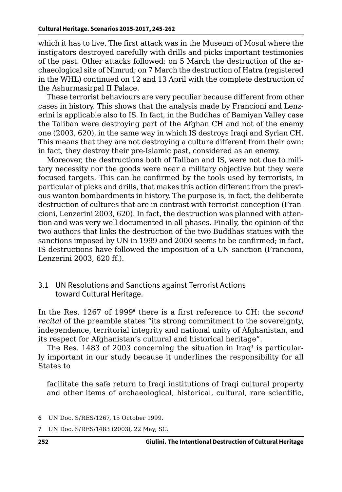which it has to live. The first attack was in the Museum of Mosul where the instigators destroyed carefully with drills and picks important testimonies of the past. Other attacks followed: on 5 March the destruction of the archaeological site of Nimrud; on 7 March the destruction of Hatra (registered in the WHL) continued on 12 and 13 April with the complete destruction of the Ashurmasirpal II Palace.

These terrorist behaviours are very peculiar because different from other cases in history. This shows that the analysis made by Francioni and Lenzerini is applicable also to IS. In fact, in the Buddhas of Bamiyan Valley case the Taliban were destroying part of the Afghan CH and not of the enemy one (2003, 620), in the same way in which IS destroys Iraqi and Syrian CH. This means that they are not destroying a culture different from their own: in fact, they destroy their pre-Islamic past, considered as an enemy.

Moreover, the destructions both of Taliban and IS, were not due to military necessity nor the goods were near a military objective but they were focused targets. This can be confirmed by the tools used by terrorists, in particular of picks and drills, that makes this action different from the previous wanton bombardments in history. The purpose is, in fact, the deliberate destruction of cultures that are in contrast with terrorist conception (Francioni, Lenzerini 2003, 620). In fact, the destruction was planned with attention and was very well documented in all phases. Finally, the opinion of the two authors that links the destruction of the two Buddhas statues with the sanctions imposed by UN in 1999 and 2000 seems to be confirmed; in fact, IS destructions have followed the imposition of a UN sanction (Francioni, Lenzerini 2003, 620 ff.).

#### 3.1 UN Resolutions and Sanctions against Terrorist Actions toward Cultural Heritage.

In the Res. 1267 of 1999<sup>6</sup> there is a first reference to CH: the *second recital* of the preamble states "its strong commitment to the sovereignty, independence, territorial integrity and national unity of Afghanistan, and its respect for Afghanistan's cultural and historical heritage".

The Res. 1483 of 2003 concerning the situation in Iraq**<sup>7</sup>** is particularly important in our study because it underlines the responsibility for all States to

facilitate the safe return to Iraqi institutions of Iraqi cultural property and other items of archaeological, historical, cultural, rare scientific,

**7** UN Doc. S/RES/1483 (2003), 22 May, SC.

**<sup>6</sup>** UN Doc. S/RES/1267, 15 October 1999.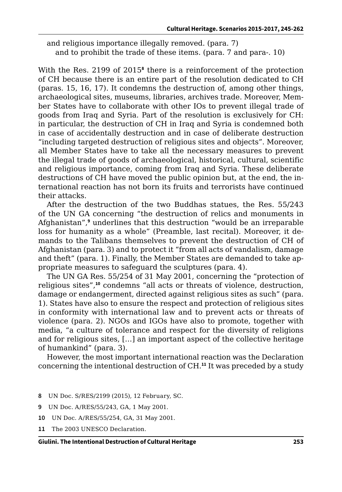and religious importance illegally removed. (para. 7) and to prohibit the trade of these items. (para. 7 and para-. 10)

With the Res. 2199 of 2015<sup>8</sup> there is a reinforcement of the protection of CH because there is an entire part of the resolution dedicated to CH (paras. 15, 16, 17). It condemns the destruction of, among other things, archaeological sites, museums, libraries, archives trade. Moreover, Member States have to collaborate with other IOs to prevent illegal trade of goods from Iraq and Syria. Part of the resolution is exclusively for CH: in particular, the destruction of CH in Iraq and Syria is condemned both in case of accidentally destruction and in case of deliberate destruction "including targeted destruction of religious sites and objects". Moreover, all Member States have to take all the necessary measures to prevent the illegal trade of goods of archaeological, historical, cultural, scientific and religious importance, coming from Iraq and Syria. These deliberate destructions of CH have moved the public opinion but, at the end, the international reaction has not born its fruits and terrorists have continued their attacks.

After the destruction of the two Buddhas statues, the Res. 55/243 of the UN GA concerning "the destruction of relics and monuments in Afghanistan",**<sup>9</sup>** underlines that this destruction "would be an irreparable loss for humanity as a whole" (Preamble, last recital). Moreover, it demands to the Talibans themselves to prevent the destruction of CH of Afghanistan (para. 3) and to protect it "from all acts of vandalism, damage and theft" (para. 1). Finally, the Member States are demanded to take appropriate measures to safeguard the sculptures (para. 4).

The UN GA Res. 55/254 of 31 May 2001, concerning the "protection of religious sites",**<sup>10</sup>** condemns "all acts or threats of violence, destruction, damage or endangerment, directed against religious sites as such" (para. 1). States have also to ensure the respect and protection of religious sites in conformity with international law and to prevent acts or threats of violence (para. 2). NGOs and IGOs have also to promote, together with media, "a culture of tolerance and respect for the diversity of religions and for religious sites, […] an important aspect of the collective heritage of humankind" (para. 3).

However, the most important international reaction was the Declaration concerning the intentional destruction of CH.**<sup>11</sup>** It was preceded by a study

- **8** UN Doc. S/RES/2199 (2015), 12 February, SC.
- **9** UN Doc. A/RES/55/243, GA, 1 May 2001.
- **10** UN Doc. A/RES/55/254, GA, 31 May 2001.
- **11** The 2003 UNESCO Declaration.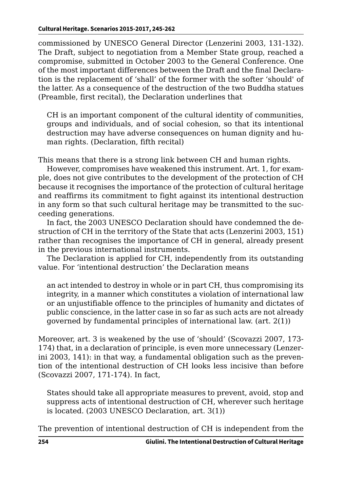commissioned by UNESCO General Director (Lenzerini 2003, 131-132). The Draft, subject to negotiation from a Member State group, reached a compromise, submitted in October 2003 to the General Conference. One of the most important differences between the Draft and the final Declaration is the replacement of 'shall' of the former with the softer 'should' of the latter. As a consequence of the destruction of the two Buddha statues (Preamble, first recital), the Declaration underlines that

CH is an important component of the cultural identity of communities, groups and individuals, and of social cohesion, so that its intentional destruction may have adverse consequences on human dignity and human rights. (Declaration, fifth recital)

This means that there is a strong link between CH and human rights.

However, compromises have weakened this instrument. Art. 1, for example, does not give contributes to the development of the protection of CH because it recognises the importance of the protection of cultural heritage and reaffirms its commitment to fight against its intentional destruction in any form so that such cultural heritage may be transmitted to the succeeding generations.

In fact, the 2003 UNESCO Declaration should have condemned the destruction of CH in the territory of the State that acts (Lenzerini 2003, 151) rather than recognises the importance of CH in general, already present in the previous international instruments.

The Declaration is applied for CH, independently from its outstanding value. For 'intentional destruction' the Declaration means

an act intended to destroy in whole or in part CH, thus compromising its integrity, in a manner which constitutes a violation of international law or an unjustifiable offence to the principles of humanity and dictates of public conscience, in the latter case in so far as such acts are not already governed by fundamental principles of international law. (art. 2(1))

Moreover, art. 3 is weakened by the use of 'should' (Scovazzi 2007, 173- 174) that, in a declaration of principle, is even more unnecessary (Lenzerini 2003, 141): in that way, a fundamental obligation such as the prevention of the intentional destruction of CH looks less incisive than before (Scovazzi 2007, 171-174). In fact,

States should take all appropriate measures to prevent, avoid, stop and suppress acts of intentional destruction of CH, wherever such heritage is located. (2003 UNESCO Declaration, art. 3(1))

The prevention of intentional destruction of CH is independent from the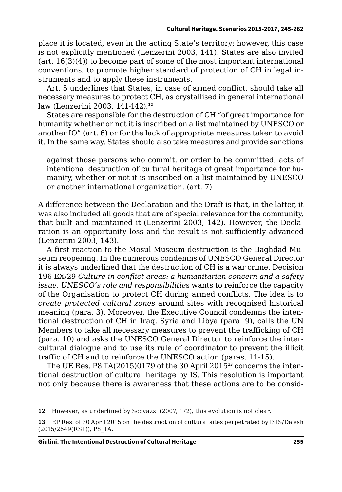place it is located, even in the acting State's territory; however, this case is not explicitly mentioned (Lenzerini 2003, 141). States are also invited  $(\text{art. } 16(3)(4))$  to become part of some of the most important international conventions, to promote higher standard of protection of CH in legal instruments and to apply these instruments.

Art. 5 underlines that States, in case of armed conflict, should take all necessary measures to protect CH, as crystallised in general international law (Lenzerini 2003, 141-142).**<sup>12</sup>**

States are responsible for the destruction of CH "of great importance for humanity whether or not it is inscribed on a list maintained by UNESCO or another IO" (art. 6) or for the lack of appropriate measures taken to avoid it. In the same way, States should also take measures and provide sanctions

against those persons who commit, or order to be committed, acts of intentional destruction of cultural heritage of great importance for humanity, whether or not it is inscribed on a list maintained by UNESCO or another international organization. (art. 7)

A difference between the Declaration and the Draft is that, in the latter, it was also included all goods that are of special relevance for the community, that built and maintained it (Lenzerini 2003, 142). However, the Declaration is an opportunity loss and the result is not sufficiently advanced (Lenzerini 2003, 143).

A first reaction to the Mosul Museum destruction is the Baghdad Museum reopening. In the numerous condemns of UNESCO General Director it is always underlined that the destruction of CH is a war crime. Decision 196 EX/29 *Culture in conflict areas: a humanitarian concern and a safety issue. UNESCO's role and responsibilitie*s wants to reinforce the capacity of the Organisation to protect CH during armed conflicts. The idea is to *create protected cultural zones* around sites with recognised historical meaning (para. 3). Moreover, the Executive Council condemns the intentional destruction of CH in Iraq, Syria and Libya (para. 9), calls the UN Members to take all necessary measures to prevent the trafficking of CH (para. 10) and asks the UNESCO General Director to reinforce the intercultural dialogue and to use its rule of coordinator to prevent the illicit traffic of CH and to reinforce the UNESCO action (paras. 11-15).

The UE Res. P8 TA(2015)0179 of the 30 April 2015**13** concerns the intentional destruction of cultural heritage by IS. This resolution is important not only because there is awareness that these actions are to be consid-

**12** However, as underlined by Scovazzi (2007, 172), this evolution is not clear.

**<sup>13</sup>** EP Res. of 30 April 2015 on the destruction of cultural sites perpetrated by ISIS/Da'esh (2015/2649(RSP)), P8\_TA.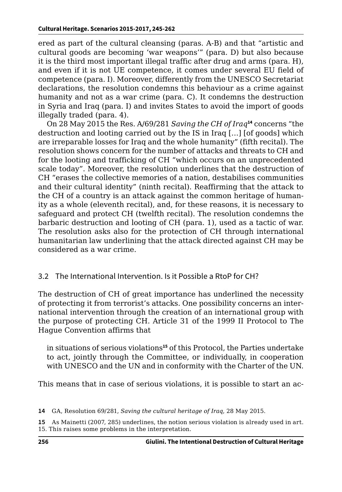ered as part of the cultural cleansing (paras. A-B) and that "artistic and cultural goods are becoming 'war weapons'" (para. D) but also because it is the third most important illegal traffic after drug and arms (para. H), and even if it is not UE competence, it comes under several EU field of competence (para. I). Moreover, differently from the UNESCO Secretariat declarations, the resolution condemns this behaviour as a crime against humanity and not as a war crime (para. C). It condemns the destruction in Syria and Iraq (para. I) and invites States to avoid the import of goods illegally traded (para. 4).

On 28 May 2015 the Res. A/69/281 *Saving the CH of Iraq***<sup>14</sup>** concerns "the destruction and looting carried out by the IS in Iraq […] [of goods] which are irreparable losses for Iraq and the whole humanity" (fifth recital). The resolution shows concern for the number of attacks and threats to CH and for the looting and trafficking of CH "which occurs on an unprecedented scale today". Moreover, the resolution underlines that the destruction of CH "erases the collective memories of a nation, destabilises communities and their cultural identity" (ninth recital). Reaffirming that the attack to the CH of a country is an attack against the common heritage of humanity as a whole (eleventh recital), and, for these reasons, it is necessary to safeguard and protect CH (twelfth recital). The resolution condemns the barbaric destruction and looting of CH (para. 1), used as a tactic of war. The resolution asks also for the protection of CH through international humanitarian law underlining that the attack directed against CH may be considered as a war crime.

### 3.2 The International Intervention. Is it Possible a RtoP for CH?

The destruction of CH of great importance has underlined the necessity of protecting it from terrorist's attacks. One possibility concerns an international intervention through the creation of an international group with the purpose of protecting CH. Article 31 of the 1999 II Protocol to The Hague Convention affirms that

in situations of serious violations**<sup>15</sup>** of this Protocol, the Parties undertake to act, jointly through the Committee, or individually, in cooperation with UNESCO and the UN and in conformity with the Charter of the UN.

This means that in case of serious violations, it is possible to start an ac-

**14** GA, Resolution 69/281, *Saving the cultural heritage of Iraq*, 28 May 2015.

**15** As Mainetti (2007, 285) underlines, the notion serious violation is already used in art. 15. This raises some problems in the interpretation.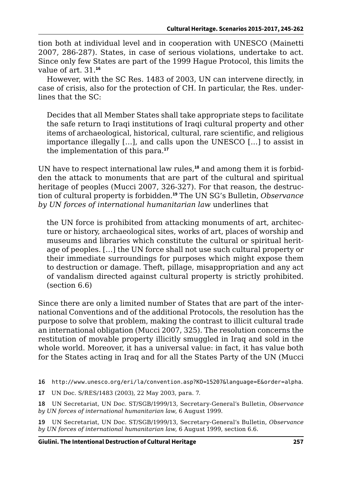tion both at individual level and in cooperation with UNESCO (Mainetti 2007, 286-287). States, in case of serious violations, undertake to act. Since only few States are part of the 1999 Hague Protocol, this limits the value of art. 31.**<sup>16</sup>**

However, with the SC Res. 1483 of 2003, UN can intervene directly, in case of crisis, also for the protection of CH. In particular, the Res. underlines that the SC:

Decides that all Member States shall take appropriate steps to facilitate the safe return to Iraqi institutions of Iraqi cultural property and other items of archaeological, historical, cultural, rare scientific, and religious importance illegally […], and calls upon the UNESCO […] to assist in the implementation of this para.**<sup>17</sup>**

UN have to respect international law rules,**18** and among them it is forbidden the attack to monuments that are part of the cultural and spiritual heritage of peoples (Mucci 2007, 326-327). For that reason, the destruction of cultural property is forbidden.**<sup>19</sup>** The UN SG's Bulletin, *Observance by UN forces of international humanitarian law* underlines that

the UN force is prohibited from attacking monuments of art, architecture or history, archaeological sites, works of art, places of worship and museums and libraries which constitute the cultural or spiritual heritage of peoples. […] the UN force shall not use such cultural property or their immediate surroundings for purposes which might expose them to destruction or damage. Theft, pillage, misappropriation and any act of vandalism directed against cultural property is strictly prohibited. (section 6.6)

Since there are only a limited number of States that are part of the international Conventions and of the additional Protocols, the resolution has the purpose to solve that problem, making the contrast to illicit cultural trade an international obligation (Mucci 2007, 325). The resolution concerns the restitution of movable property illicitly smuggled in Iraq and sold in the whole world. Moreover, it has a universal value: in fact, it has value both for the States acting in Iraq and for all the States Party of the UN (Mucci

**16** <http://www.unesco.org/eri/la/convention.asp?KO=15207&language=E&order=alpha>.

**17** UN Doc. S/RES/1483 (2003), 22 May 2003, para. 7.

**18** UN Secretariat, UN Doc. ST/SGB/1999/13, Secretary-General's Bulletin, *Observance by UN forces of international humanitarian law*, 6 August 1999.

**19** UN Secretariat, UN Doc. ST/SGB/1999/13, Secretary-General's Bulletin, *Observance by UN forces of international humanitarian law*, 6 August 1999, section 6.6.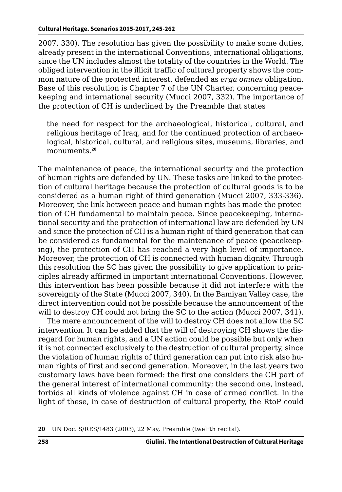2007, 330). The resolution has given the possibility to make some duties, already present in the international Conventions, international obligations, since the UN includes almost the totality of the countries in the World. The obliged intervention in the illicit traffic of cultural property shows the common nature of the protected interest, defended as *erga omnes* obligation. Base of this resolution is Chapter 7 of the UN Charter, concerning peacekeeping and international security (Mucci 2007, 332). The importance of the protection of CH is underlined by the Preamble that states

the need for respect for the archaeological, historical, cultural, and religious heritage of Iraq, and for the continued protection of archaeological, historical, cultural, and religious sites, museums, libraries, and monuments.**<sup>20</sup>**

The maintenance of peace, the international security and the protection of human rights are defended by UN. These tasks are linked to the protection of cultural heritage because the protection of cultural goods is to be considered as a human right of third generation (Mucci 2007, 333-336). Moreover, the link between peace and human rights has made the protection of CH fundamental to maintain peace. Since peacekeeping, international security and the protection of international law are defended by UN and since the protection of CH is a human right of third generation that can be considered as fundamental for the maintenance of peace (peacekeeping), the protection of CH has reached a very high level of importance. Moreover, the protection of CH is connected with human dignity. Through this resolution the SC has given the possibility to give application to principles already affirmed in important international Conventions. However, this intervention has been possible because it did not interfere with the sovereignty of the State (Mucci 2007, 340). In the Bamiyan Valley case, the direct intervention could not be possible because the announcement of the will to destroy CH could not bring the SC to the action (Mucci 2007, 341).

The mere announcement of the will to destroy CH does not allow the SC intervention. It can be added that the will of destroying CH shows the disregard for human rights, and a UN action could be possible but only when it is not connected exclusively to the destruction of cultural property, since the violation of human rights of third generation can put into risk also human rights of first and second generation. Moreover, in the last years two customary laws have been formed: the first one considers the CH part of the general interest of international community; the second one, instead, forbids all kinds of violence against CH in case of armed conflict. In the light of these, in case of destruction of cultural property, the RtoP could

**<sup>20</sup>** UN Doc. S/RES/1483 (2003), 22 May, Preamble (twelfth recital).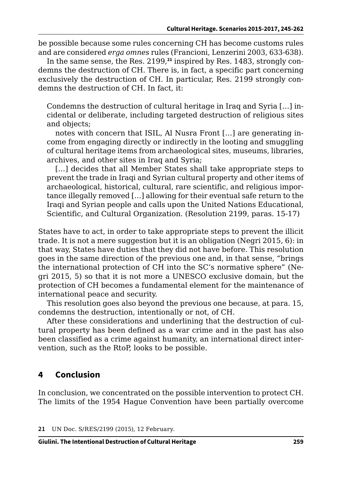be possible because some rules concerning CH has become customs rules and are considered *erga omnes* rules (Francioni, Lenzerini 2003, 633-638).

In the same sense, the Res. 2199,**21** inspired by Res. 1483, strongly condemns the destruction of CH. There is, in fact, a specific part concerning exclusively the destruction of CH. In particular, Res. 2199 strongly condemns the destruction of CH. In fact, it:

Condemns the destruction of cultural heritage in Iraq and Syria […] incidental or deliberate, including targeted destruction of religious sites and objects;

notes with concern that ISIL, Al Nusra Front […] are generating income from engaging directly or indirectly in the looting and smuggling of cultural heritage items from archaeological sites, museums, libraries, archives, and other sites in Iraq and Syria;

[...] decides that all Member States shall take appropriate steps to prevent the trade in Iraqi and Syrian cultural property and other items of archaeological, historical, cultural, rare scientific, and religious importance illegally removed […] allowing for their eventual safe return to the Iraqi and Syrian people and calls upon the United Nations Educational, Scientific, and Cultural Organization. (Resolution 2199, paras. 15-17)

States have to act, in order to take appropriate steps to prevent the illicit trade. It is not a mere suggestion but it is an obligation (Negri 2015, 6): in that way, States have duties that they did not have before. This resolution goes in the same direction of the previous one and, in that sense, "brings the international protection of CH into the SC's normative sphere" (Negri 2015, 5) so that it is not more a UNESCO exclusive domain, but the protection of CH becomes a fundamental element for the maintenance of international peace and security.

This resolution goes also beyond the previous one because, at para. 15, condemns the destruction, intentionally or not, of CH.

After these considerations and underlining that the destruction of cultural property has been defined as a war crime and in the past has also been classified as a crime against humanity, an international direct intervention, such as the RtoP, looks to be possible.

# **4 Conclusion**

In conclusion, we concentrated on the possible intervention to protect CH. The limits of the 1954 Hague Convention have been partially overcome

**21** UN Doc. S/RES/2199 (2015), 12 February.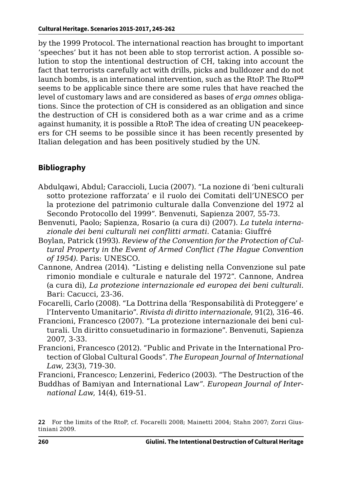by the 1999 Protocol. The international reaction has brought to important 'speeches' but it has not been able to stop terrorist action. A possible solution to stop the intentional destruction of CH, taking into account the fact that terrorists carefully act with drills, picks and bulldozer and do not launch bombs, is an international intervention, such as the RtoP. The RtoP**<sup>22</sup>** seems to be applicable since there are some rules that have reached the level of customary laws and are considered as bases of *erga omnes* obligations. Since the protection of CH is considered as an obligation and since the destruction of CH is considered both as a war crime and as a crime against humanity, it is possible a RtoP. The idea of creating UN peacekeepers for CH seems to be possible since it has been recently presented by Italian delegation and has been positively studied by the UN.

### **Bibliography**

- Abdulqawi, Abdul; Caraccioli, Lucia (2007). "La nozione di 'beni culturali sotto protezione rafforzata' e il ruolo dei Comitati dell'UNESCO per la protezione del patrimonio culturale dalla Convenzione del 1972 al Secondo Protocollo del 1999". Benvenuti, Sapienza 2007, 55-73.
- Benvenuti, Paolo; Sapienza, Rosario (a cura di) (2007). *La tutela internazionale dei beni culturali nei conflitti armati*. Catania: Giuffré
- Boylan, Patrick (1993). *Review of the Convention for the Protection of Cultural Property in the Event of Armed Conflict (The Hague Convention of 1954)*. Paris: UNESCO.
- Cannone, Andrea (2014). "Listing e delisting nella Convenzione sul paterimonio mondiale e culturale e naturale del 1972". Cannone, Andrea (a cura di), *La protezione internazionale ed europea dei beni culturali*. Bari: Cacucci, 23-36.
- Focarelli, Carlo (2008). "La Dottrina della 'Responsabilità di Proteggere' e l'Intervento Umanitario". *Rivista di diritto internazionale*, 91(2), 316-46.
- Francioni, Francesco (2007). "La protezione internazionale dei beni culturali. Un diritto consuetudinario in formazione". Benvenuti, Sapienza 2007, 3-33.
- Francioni, Francesco (2012). "Public and Private in the International Protection of Global Cultural Goods". *The European Journal of International Law*, 23(3), 719-30.

Francioni, Francesco; Lenzerini, Federico (2003). "The Destruction of the

Buddhas of Bamiyan and International Law". *European Journal of International Law*, 14(4), 619-51.

**<sup>22</sup>** For the limits of the RtoP, cf. Focarelli 2008; Mainetti 2004; Stahn 2007; Zorzi Giustiniani 2009.